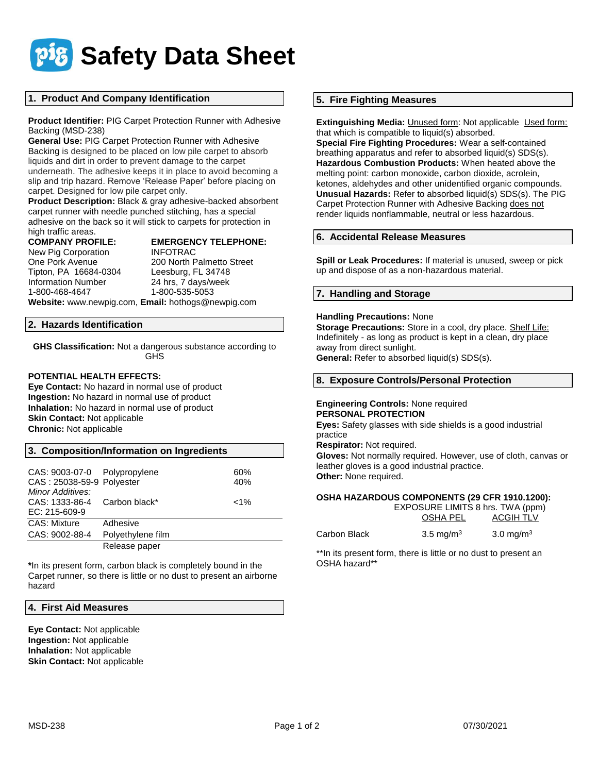

# **1. Product And Company Identification**

**Product Identifier:** PIG Carpet Protection Runner with Adhesive Backing (MSD-238)

**General Use:** PIG Carpet Protection Runner with Adhesive Backing is designed to be placed on low pile carpet to absorb liquids and dirt in order to prevent damage to the carpet underneath. The adhesive keeps it in place to avoid becoming a slip and trip hazard. Remove 'Release Paper' before placing on carpet. Designed for low pile carpet only.

**Product Description:** Black & gray adhesive-backed absorbent carpet runner with needle punched stitching, has a special adhesive on the back so it will stick to carpets for protection in high traffic areas.

**COMPANY PROFILE: EMERGENCY TELEPHONE:**

New Pig Corporation INFOTRAC Tipton, PA 16684-0304 Leesburg, FL 34748 1-800-468-4647 1-800-535-5053

One Pork Avenue 200 North Palmetto Street 24 hrs, 7 days/week

**Website:** www.newpig.com, **Email:** hothogs@newpig.com

## **2. Hazards Identification**

**GHS Classification:** Not a dangerous substance according to **GHS** 

## **POTENTIAL HEALTH EFFECTS:**

**Eye Contact:** No hazard in normal use of product **Ingestion:** No hazard in normal use of product **Inhalation:** No hazard in normal use of product **Skin Contact:** Not applicable **Chronic:** Not applicable

| 3. Composition/Information on Ingredients |  |
|-------------------------------------------|--|
|-------------------------------------------|--|

| CAS: 9003-07-0 Polypropylene<br>CAS: 25038-59-9 Polyester |                   | 60%<br>40% |
|-----------------------------------------------------------|-------------------|------------|
| Minor Additives:<br>CAS: 1333-86-4<br>EC: 215-609-9       | Carbon black*     | $< 1\%$    |
| CAS: Mixture                                              | Adhesive          |            |
| CAS: 9002-88-4                                            | Polyethylene film |            |
|                                                           | Release paper     |            |

**\***In its present form, carbon black is completely bound in the Carpet runner, so there is little or no dust to present an airborne hazard

## **4. First Aid Measures**

**Eye Contact:** Not applicable **Ingestion:** Not applicable **Inhalation:** Not applicable **Skin Contact: Not applicable** 

# **5. Fire Fighting Measures**

**Extinguishing Media: Unused form: Not applicable Used form:** that which is compatible to liquid(s) absorbed.

**Special Fire Fighting Procedures:** Wear a self-contained breathing apparatus and refer to absorbed liquid(s) SDS(s). **Hazardous Combustion Products:** When heated above the melting point: carbon monoxide, carbon dioxide, acrolein, ketones, aldehydes and other unidentified organic compounds. **Unusual Hazards:** Refer to absorbed liquid(s) SDS(s). The PIG Carpet Protection Runner with Adhesive Backing does not render liquids nonflammable, neutral or less hazardous.

# **6. Accidental Release Measures**

**Spill or Leak Procedures:** If material is unused, sweep or pick up and dispose of as a non-hazardous material.

# **7. Handling and Storage**

# **Handling Precautions:** None

**Storage Precautions:** Store in a cool, dry place. Shelf Life: Indefinitely - as long as product is kept in a clean, dry place away from direct sunlight. **General:** Refer to absorbed liquid(s) SDS(s).

## **8. Exposure Controls/Personal Protection**

### **Engineering Controls:** None required **PERSONAL PROTECTION**

**Eyes:** Safety glasses with side shields is a good industrial practice

**Respirator:** Not required.

**Gloves:** Not normally required. However, use of cloth, canvas or leather gloves is a good industrial practice. **Other:** None required.

## **OSHA HAZARDOUS COMPONENTS (29 CFR 1910.1200):**

|              | EXPOSURE LIMITS 8 hrs. TWA (ppm) |                       |  |
|--------------|----------------------------------|-----------------------|--|
|              | OSHA PEL                         | <b>ACGIH TLV</b>      |  |
| Carbon Black | 3.5 mg/m <sup>3</sup>            | 3.0 mg/m <sup>3</sup> |  |

\*\*In its present form, there is little or no dust to present an OSHA hazard\*\*